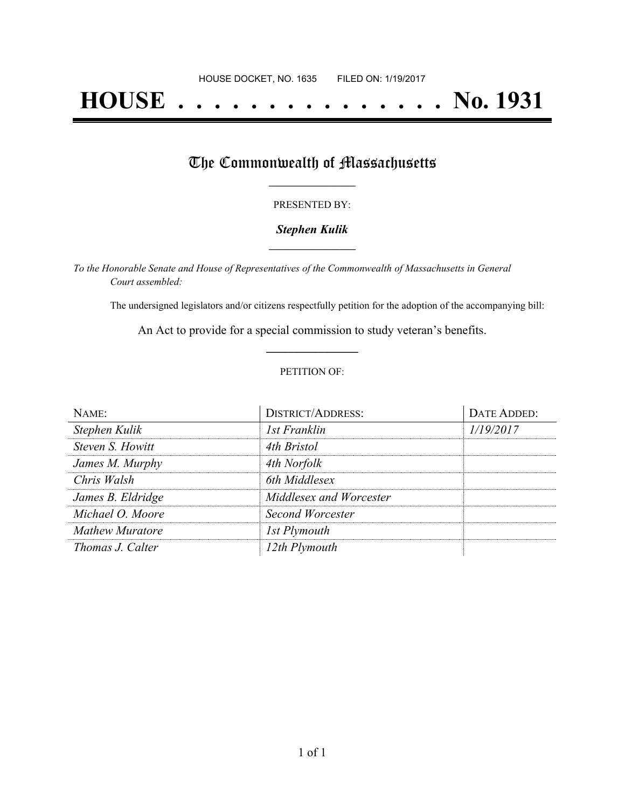# **HOUSE . . . . . . . . . . . . . . . No. 1931**

## The Commonwealth of Massachusetts

#### PRESENTED BY:

#### *Stephen Kulik* **\_\_\_\_\_\_\_\_\_\_\_\_\_\_\_\_\_**

*To the Honorable Senate and House of Representatives of the Commonwealth of Massachusetts in General Court assembled:*

The undersigned legislators and/or citizens respectfully petition for the adoption of the accompanying bill:

An Act to provide for a special commission to study veteran's benefits. **\_\_\_\_\_\_\_\_\_\_\_\_\_\_\_**

#### PETITION OF:

| NAME:                  | <b>DISTRICT/ADDRESS:</b> | DATE ADDED: |
|------------------------|--------------------------|-------------|
| Stephen Kulik          | 1st Franklin             | 1/19/2017   |
| Steven S. Howitt       | 4th Bristol              |             |
| James M. Murphy        | 4th Norfolk              |             |
| Chris Walsh            | 6th Middlesex            |             |
| James B. Eldridge      | Middlesex and Worcester  |             |
| Michael O. Moore       | Second Worcester         |             |
| <b>Mathew Muratore</b> | 1st Plymouth             |             |
| Thomas J. Calter       | 12th Plymouth            |             |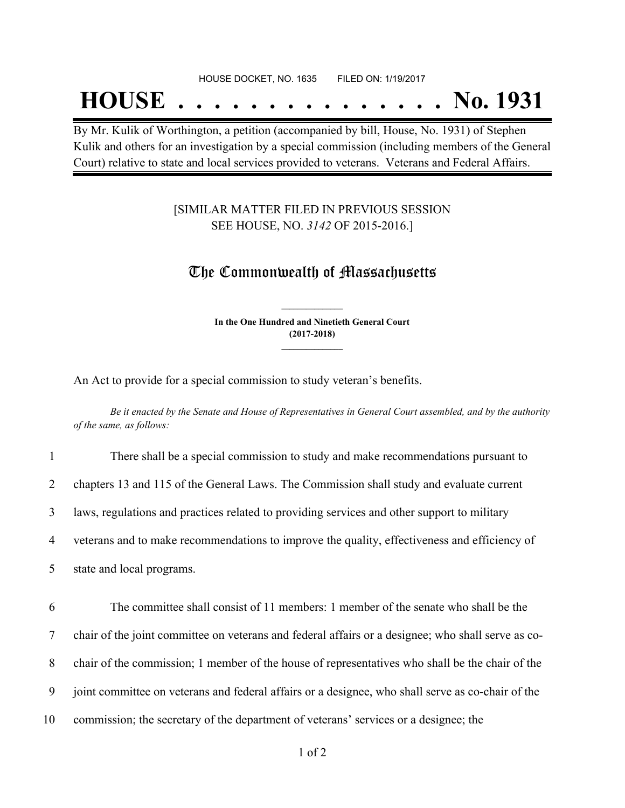#### HOUSE DOCKET, NO. 1635 FILED ON: 1/19/2017

## **HOUSE . . . . . . . . . . . . . . . No. 1931**

By Mr. Kulik of Worthington, a petition (accompanied by bill, House, No. 1931) of Stephen Kulik and others for an investigation by a special commission (including members of the General Court) relative to state and local services provided to veterans. Veterans and Federal Affairs.

#### [SIMILAR MATTER FILED IN PREVIOUS SESSION SEE HOUSE, NO. *3142* OF 2015-2016.]

### The Commonwealth of Massachusetts

**In the One Hundred and Ninetieth General Court (2017-2018) \_\_\_\_\_\_\_\_\_\_\_\_\_\_\_**

**\_\_\_\_\_\_\_\_\_\_\_\_\_\_\_**

An Act to provide for a special commission to study veteran's benefits.

Be it enacted by the Senate and House of Representatives in General Court assembled, and by the authority *of the same, as follows:*

| $\mathbf{1}$ | There shall be a special commission to study and make recommendations pursuant to                  |
|--------------|----------------------------------------------------------------------------------------------------|
| 2            | chapters 13 and 115 of the General Laws. The Commission shall study and evaluate current           |
| 3            | laws, regulations and practices related to providing services and other support to military        |
| 4            | veterans and to make recommendations to improve the quality, effectiveness and efficiency of       |
| 5            | state and local programs.                                                                          |
|              |                                                                                                    |
| 6            |                                                                                                    |
|              | The committee shall consist of 11 members: 1 member of the senate who shall be the                 |
| 7            | chair of the joint committee on veterans and federal affairs or a designee; who shall serve as co- |
| 8            | chair of the commission; 1 member of the house of representatives who shall be the chair of the    |
| 9            | joint committee on veterans and federal affairs or a designee, who shall serve as co-chair of the  |